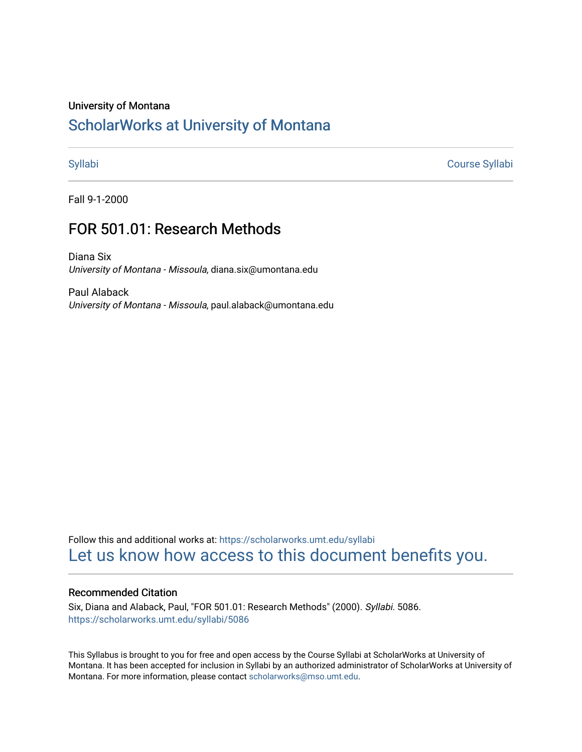### University of Montana

# [ScholarWorks at University of Montana](https://scholarworks.umt.edu/)

[Syllabi](https://scholarworks.umt.edu/syllabi) [Course Syllabi](https://scholarworks.umt.edu/course_syllabi) 

Fall 9-1-2000

# FOR 501.01: Research Methods

Diana Six University of Montana - Missoula, diana.six@umontana.edu

Paul Alaback University of Montana - Missoula, paul.alaback@umontana.edu

Follow this and additional works at: [https://scholarworks.umt.edu/syllabi](https://scholarworks.umt.edu/syllabi?utm_source=scholarworks.umt.edu%2Fsyllabi%2F5086&utm_medium=PDF&utm_campaign=PDFCoverPages)  [Let us know how access to this document benefits you.](https://goo.gl/forms/s2rGfXOLzz71qgsB2) 

## Recommended Citation

Six, Diana and Alaback, Paul, "FOR 501.01: Research Methods" (2000). Syllabi. 5086. [https://scholarworks.umt.edu/syllabi/5086](https://scholarworks.umt.edu/syllabi/5086?utm_source=scholarworks.umt.edu%2Fsyllabi%2F5086&utm_medium=PDF&utm_campaign=PDFCoverPages)

This Syllabus is brought to you for free and open access by the Course Syllabi at ScholarWorks at University of Montana. It has been accepted for inclusion in Syllabi by an authorized administrator of ScholarWorks at University of Montana. For more information, please contact [scholarworks@mso.umt.edu.](mailto:scholarworks@mso.umt.edu)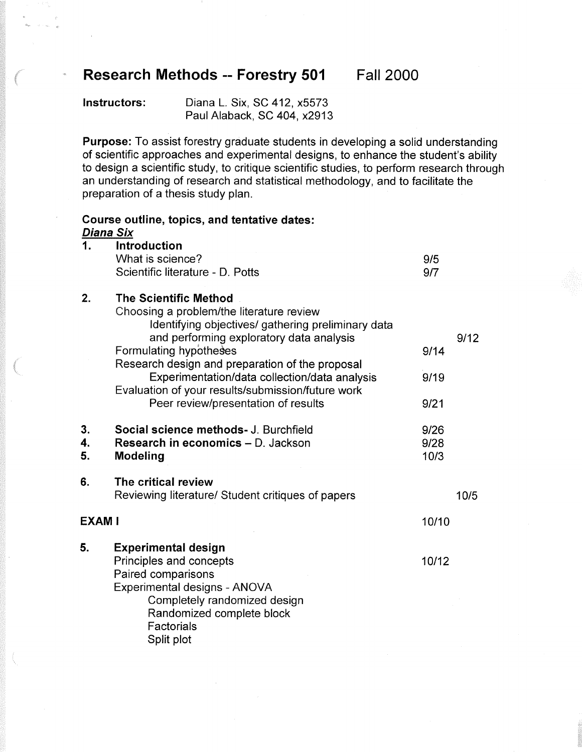# **Research Methods -- Forestry 501 Fall 2000**

 **Instructors:** Diana L. Six, SC 412, x5573 Paul Alaback, SC 404, x2913

 **Purpose:** To assist forestry graduate students in developing a solid understanding of scientific approaches and experimental designs, to enhance the student's ability to design a scientific study, to critique scientific studies, to perform research through an understanding of research and statistical methodology, and to facilitate the preparation of a thesis study plan.

|                | Course outline, topics, and tentative dates:<br><u>Diana Six</u>                                                                                                                                                                                                                                                                                                                                     |                      |      |
|----------------|------------------------------------------------------------------------------------------------------------------------------------------------------------------------------------------------------------------------------------------------------------------------------------------------------------------------------------------------------------------------------------------------------|----------------------|------|
| 1.             | <b>Introduction</b><br>What is science?<br>Scientific literature - D. Potts                                                                                                                                                                                                                                                                                                                          | 9/5<br>9/7           |      |
| 2.             | <b>The Scientific Method</b><br>Choosing a problem/the literature review<br>Identifying objectives/ gathering preliminary data<br>and performing exploratory data analysis<br>Formulating hypotheses<br>Research design and preparation of the proposal<br>Experimentation/data collection/data analysis<br>Evaluation of your results/submission/future work<br>Peer review/presentation of results | 9/14<br>9/19<br>9/21 | 9/12 |
| 3.<br>4.<br>5. | Social science methods- J. Burchfield<br>Research in economics - D. Jackson<br><b>Modeling</b>                                                                                                                                                                                                                                                                                                       | 9/26<br>9/28<br>10/3 |      |
| 6.             | The critical review<br>Reviewing literature/ Student critiques of papers                                                                                                                                                                                                                                                                                                                             |                      | 10/5 |
| <b>EXAM I</b>  |                                                                                                                                                                                                                                                                                                                                                                                                      | 10/10                |      |
| 5.             | <b>Experimental design</b><br>Principles and concepts<br>Paired comparisons<br>Experimental designs - ANOVA<br>Completely randomized design<br>Randomized complete block<br>Factorials<br>Split plot                                                                                                                                                                                                 | 10/12                |      |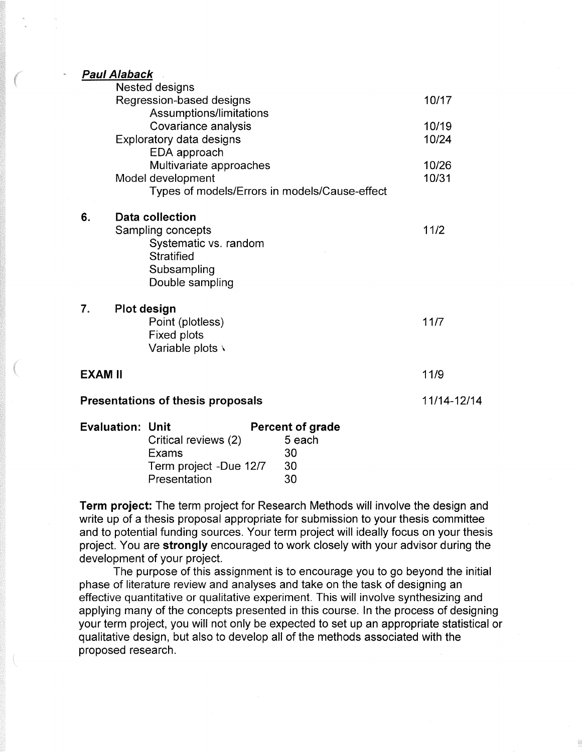*Paul Alaback* 

|                                   | Nested designs                                |       |  |
|-----------------------------------|-----------------------------------------------|-------|--|
|                                   | Regression-based designs                      | 10/17 |  |
|                                   | Assumptions/limitations                       |       |  |
|                                   | Covariance analysis                           | 10/19 |  |
|                                   | Exploratory data designs                      | 10/24 |  |
|                                   | EDA approach                                  |       |  |
|                                   | Multivariate approaches                       | 10/26 |  |
|                                   | Model development                             | 10/31 |  |
|                                   | Types of models/Errors in models/Cause-effect |       |  |
| 6.                                | Data collection                               |       |  |
|                                   | Sampling concepts                             | 11/2  |  |
|                                   | Systematic vs. random                         |       |  |
|                                   | <b>Stratified</b>                             |       |  |
|                                   | Subsampling                                   |       |  |
|                                   | Double sampling                               |       |  |
|                                   |                                               |       |  |
| 7.                                | Plot design                                   |       |  |
|                                   | Point (plotless)                              | 11/7  |  |
|                                   | Fixed plots                                   |       |  |
|                                   | Variable plots \                              |       |  |
| EXAM II                           |                                               | 11/9  |  |
|                                   |                                               |       |  |
| Presentations of thesis proposals | 11/14-12/14                                   |       |  |

| <b>Evaluation: Unit</b> |                        | <b>Percent of grade</b> |
|-------------------------|------------------------|-------------------------|
|                         | Critical reviews (2)   | 5 each                  |
|                         | Exams                  | 30                      |
|                         | Term project -Due 12/7 | 30                      |
|                         | Presentation           | 30                      |

 **Term project:** The term project for Research Methods will involve the design and write up of a thesis proposal appropriate for submission to your thesis committee and to potential funding sources. Your term project will ideally focus on your thesis project. You are **strongly** encouraged to work closely with your advisor during the development of your project.

 The purpose of this assignment is to encourage you to go beyond the initial phase of literature review and analyses and take on the task of designing an effective quantitative or qualitative experiment. This will involve synthesizing and applying many of the concepts presented in this course. In the process of designing your term project, you will not only be expected to set up an appropriate statistical or qualitative design, but also to develop all of the methods associated with the proposed research.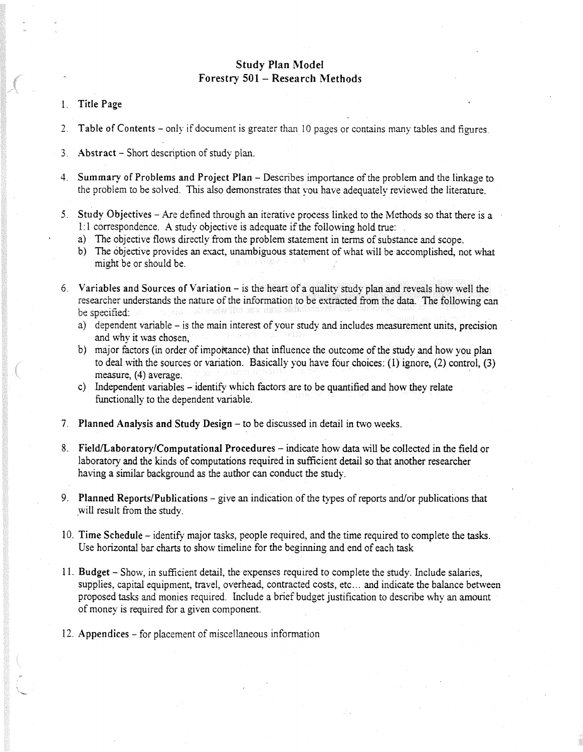# **Study Plan Model** Forestry 501 - Research Methods

- 1. Title Page
- 2. Table of Contents only if document is greater than 10 pages or contains many tables and figures.
- 3. Abstract Short description of study plan.
- 4. Summary of Problems and Project Plan Describes importance of the problem and the linkage to the problem to be solved. This also demonstrates that you have adequately reviewed the literature.
- 5. Study Objectives Are defined through an iterative process linked to the Methods so that there is a 1:1 correspondence. A study objective is adequate if the following hold true:
	- a) The objective flows directly from the problem statement in terms of substance and scope.
	- b) The objective provides an exact, unambiguous statement of what will be accomplished, not what might be or should be.
- 6. Variables and Sources of Variation  $-$  is the heart of a quality study plan and reveals how well the researcher understands the nature of the information to be extracted from the data. The following can be specified:
	- a) dependent variable is the main interest of your study and includes measurement units, precision and why it was chosen,
	- b) major factors (in order of importance) that influence the outcome of the study and how you plan to deal with the sources or variation. Basically you have four choices: (1) ignore, (2) control, (3) measure, (4) average.
	- c) Independent variables identify which factors are to be quantified and how they relate functionally to the dependent variable.
- 7. Planned Analysis and Study Design to be discussed in detail in two weeks.
- 8. Field/Laboratory/Computational Procedures indicate how data will be collected in the field or laboratory and the kinds of computations required in sufficient detail so that another researcher having a similar background as the author can conduct the study.
- 9. Planned Reports/Publications give an indication of the types of reports and/or publications that will result from the study.
- 10. Time Schedule identify major tasks, people required, and the time required to complete the tasks. Use horizontal bar charts to show timeline for the beginning and end of each task
- 11. Budget Show, in sufficient detail, the expenses required to complete the study. Include salaries, supplies, capital equipment, travel, overhead, contracted costs, etc... and indicate the balance between proposed tasks and monies required. Include a brief budget justification to describe why an amount of money is required for a given component.
- 12. Appendices for placement of miscellaneous information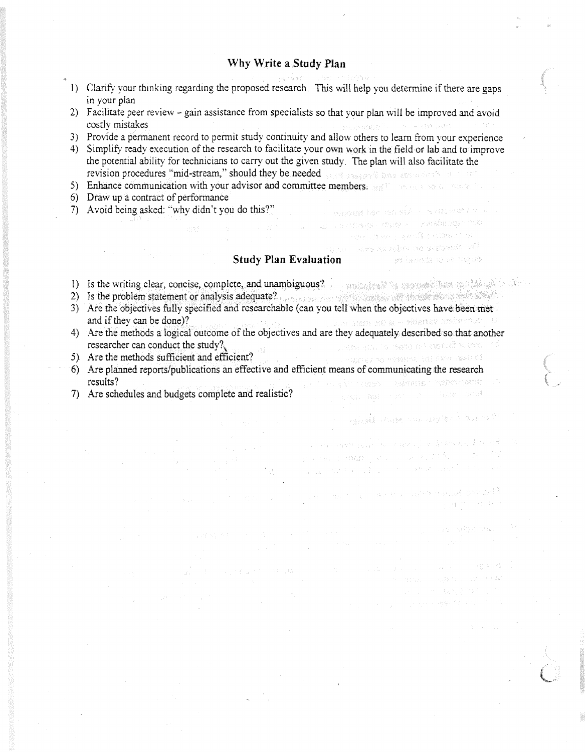## **Why Write a Study Plan**

- 1) Clarify your thinking regarding the proposed research. This will help you determine if there are gaps in your plan
- 2) Facilitate peer review gain assistance from specialists so that your plan will be improved and avoid costly mistakes
- 3) Provide a permanent record to permit study continuity and allow others to learn from your experience
- 4) Simplify- ready execution of the research to facilitate your own work in the field or lab and to improve the potential ability for technicians to carry out the given study. The plan will also facilitate the revision procedures "mid-stream," should they be needed with the assessment of the state of the state of the state of the state of the state of the state of the state of the state of the state of the state of the state of
- 5) Enhance communication with your advisor and committee members.
- 6) Draw up a contract of performance
- 7) Avoid being asked: "why didn't you do this?"

## **Study Plan Evaluation**

 $\sim$  we went has taken by the set  $\ell \leq \omega$  . i ay isa dhekara marka waxaa ku san waxay ka mida  $\left\langle \gamma_{\rm{QCD}} \right\rangle = \left\langle \gamma_{\rm{QCD}} \right\rangle \left\langle \gamma_{\rm{QCD}} \right\rangle = \left\langle \gamma_{\rm{QCD}} \right\rangle \left\langle \gamma_{\rm{QCD}} \right\rangle \left\langle \gamma_{\rm{QCD}} \right\rangle = \left\langle \gamma_{\rm{QCD}} \right\rangle \left\langle \gamma_{\rm{QCD}} \right\rangle \left\langle \gamma_{\rm{QCD}} \right\rangle$ ment absolute the spiral profession of F

**Service Services** Constitution of the Constitution of the Constitution of the Constitution of the Constitution of

Compagnization or engagement of a statue and statues

1. "我们是我们的人的。"

in the cost can be represented by the second second in the community of the community of the community of the community of the community of the community of the c<br>The community of the community of the community of the community of the community of the community of the comm

where the company of the control barriers of the company of the company of the company of the company of the company of the company of the company of the company of the company of the company of the company of the company

- 1) Is the writing clear, concise, complete, and unambiguous?
- 2) Is the problem statement or analysis adequate?
- 3) Are the objectives fully specified and researchable (can you tell when the objectives have been met and if they can be done)? and if they can be done)?
- 4) Are the methods a logical outcome of the objectives and are they adequately described so that another researcher can conduct the study? researcher can conduct the study? $\sqrt{2}$
- 5) Are the methods sufficient and efficient?
- 6) Are planned reports/publications an effective and efficient means of communicating the research results? . The air news advance modernessed
- 7) Are schedules and budgets complete and realistic?